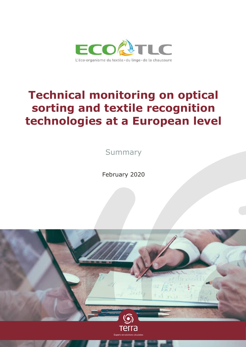

# **Technical monitoring on optical sorting and textile recognition technologies at a European level**

**Summary** 

February 2020

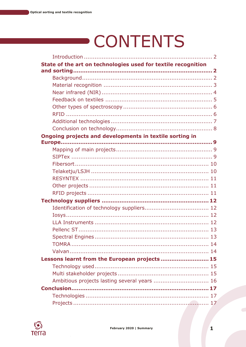# **CONTENTS**

| State of the art on technologies used for textile recognition |
|---------------------------------------------------------------|
|                                                               |
|                                                               |
|                                                               |
|                                                               |
|                                                               |
|                                                               |
|                                                               |
|                                                               |
|                                                               |
| Ongoing projects and developments in textile sorting in       |
|                                                               |
|                                                               |
|                                                               |
|                                                               |
|                                                               |
|                                                               |
|                                                               |
|                                                               |
|                                                               |
|                                                               |
|                                                               |
|                                                               |
|                                                               |
|                                                               |
|                                                               |
| Lessons learnt from the European projects 15                  |
|                                                               |
|                                                               |
| Ambitious projects lasting several years  16                  |
|                                                               |
|                                                               |
|                                                               |

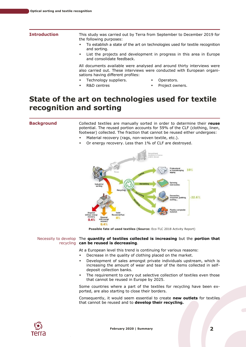<span id="page-2-0"></span>

|  |  | <b>Introductio</b> |  |
|--|--|--------------------|--|
|  |  |                    |  |

**In** This study was carried out by Terra from September to December 2019 for the following purposes:

- To establish a state of the art on technologies used for textile recognition and sorting.
- List the projects and development in progress in this area in Europe and consolidate feedback.

All documents available were analysed and around thirty interviews were also carried out. These interviews were conducted with European organisations having different profiles:

- Technology suppliers.
- R&D centres
- Operators.
- Project owners.

# <span id="page-2-1"></span>**State of the art on technologies used for textile recognition and sorting**

<span id="page-2-2"></span>**Background** Collected textiles are manually sorted in order to determine their **reuse** potential. The reused portion accounts for 59% of the CLF (clothing, linen, footwear) collected. The fraction that cannot be reused either undergoes:

- Material recovery (rags, non-woven textile, etc.).
- Or energy recovery. Less than 1% of CLF are destroyed.



**Possible fate of used textiles (Source:** Eco-TLC 2018 Activity Report)

### Necessity to develop The **quantity of textiles collected is increasing** but the **portion that**  recycling **can be reused is decreasing**.

At a European level this trend is continuing for various reasons:

- Decrease in the quality of clothing placed on the market.
- Development of sales amongst private individuals upstream, which is increasing the amount of wear and tear of the items collected in selfdeposit collection banks.
- The requirement to carry out selective collection of textiles even those that cannot be reused in Europe by 2025.

Some countries where a part of the textiles for recycling have been exported, are also starting to close their borders.

Consequently, it would seem essential to create **new outlets** for textiles that cannot be reused and to **develop their recycling.**

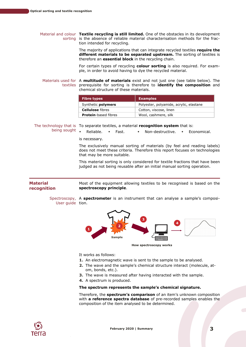Material and colour **Textile recycling is still limited.** One of the obstacles in its development sorting is the absence of reliable material characterisation methods for the fraction intended for recycling.

> The majority of applications that can integrate recycled textiles **require the different materials to be separated upstream.** The sorting of textiles is therefore an **essential block** in the recycling chain.

> For certain types of recycling **colour sorting** is also required. For example, in order to avoid having to dye the recycled material.

Materials used for A **multitude of materials** exist and not just one (see table below). The textiles prerequisite for sorting is therefore to **identify the composition** and chemical structure of these materials.

| <b>Examples</b><br><b>Fibre types</b>                                |  |
|----------------------------------------------------------------------|--|
| Synthetic <b>polymers</b><br>Polyester, polyamide, acrylic, elastane |  |
| <b>Cellulose</b> fibres<br>Cotton, viscose, linen                    |  |
| <b>Protein-based fibres</b><br>Wool, cashmere, silk                  |  |

The technology that is To separate textiles, a material **recognition system** that is:

being sought

Reliable. • Fast. • Non-destructive. • Economical.

is necessary.

The exclusively manual sorting of materials (by feel and reading labels) does not meet these criteria. Therefore this report focuses on technologies that may be more suitable.

This material sorting is only considered for textile fractions that have been judged as not being reusable after an initial manual sorting operation.

### <span id="page-3-0"></span>**Material recognition** Most of the equipment allowing textiles to be recognised is based on the **spectroscopy principle**.

Spectroscopy, A **spectrometer** is an instrument that can analyse a sample's composi-User guide tion.



It works as follows:

- **1.** An electromagnetic wave is sent to the sample to be analysed.
- **2.** The wave and the sample's chemical structure interact (molecule, atom, bonds, etc.).
- **3.** The wave is measured after having interacted with the sample.
- **4.** A spectrum is produced.

# **The spectrum represents the sample's chemical signature.**

Therefore, the **spectrum's comparison** of an item's unknown composition with **a reference spectra database** of pre-recorded samples enables the composition of the item analysed to be determined.

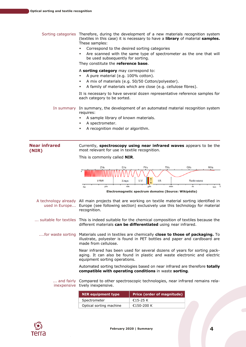Sorting categories Therefore, during the development of a new materials recognition system (textiles in this case) it is necessary to have a **library** of material **samples.** These samples:

- Correspond to the desired sorting categories
- Are scanned with the same type of spectrometer as the one that will be used subsequently for sorting.

They constitute the **reference base**.

### A **sorting category** may correspond to:

- A pure material (e.g. 100% cotton).
- A mix of materials (e.g. 50/50 Cotton/polyester).
- A family of materials which are close (e.g. cellulose fibres).

It is necessary to have several dozen representative reference samples for each category to be sorted.

In summary In summary, the development of an automated material recognition system requires:

- A sample library of known materials.
- A spectrometer.
- A recognition model or algorithm.

### <span id="page-4-0"></span>**Near infrared (NIR)** Currently, **spectroscopy using near infrared waves** appears to be the most relevant for use in textile recognition.

This is commonly called **NIR**.



| <b>NIR equipment type</b> | <b>Price (order of magnitude)</b> |
|---------------------------|-----------------------------------|
| Spectrometer              | €15-25 K                          |
| Optical sorting machine   | €150-200 K                        |
|                           |                                   |

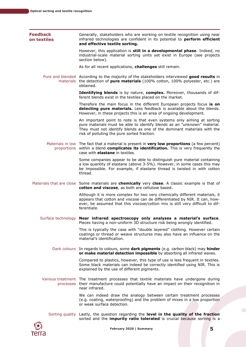<span id="page-5-0"></span>

|                                | February 2020   Summary                                                                                                                                                                                                                                                      | 5 |
|--------------------------------|------------------------------------------------------------------------------------------------------------------------------------------------------------------------------------------------------------------------------------------------------------------------------|---|
|                                | Sorting quality Lastly, the question regarding the level in the quality of the fraction<br>sorted and the <i>impurity ratio tolerated</i> is crucial because sorting is a                                                                                                    |   |
|                                | We can indeed draw the analogy between certain treatment processes<br>(e.g. coating, waterproofing) and the problem of mixes in a low proportion<br>or weak surface detection.                                                                                               |   |
|                                | Various treatment The treatment processes that textile materials have undergone during<br>processes their manufacture could potentially have an impact on their recognition in<br>near infrared.                                                                             |   |
|                                | Compared to plastics, however, this type of use is less frequent in textiles.<br>Some black materials can indeed be correctly identified using NIR. This is<br>explained by the use of different pigments.                                                                   |   |
|                                | Dark colours In regards to colours, some dark pigments (e.g. carbon black) may hinder<br>or make material detection impossible by absorbing all infrared waves.                                                                                                              |   |
|                                | This is typically the case with "double layered" clothing. However certain<br>coatings or thread or weave structures may also have an influence on the<br>material's identification.                                                                                         |   |
|                                | Surface technology Near infrared spectroscopy only analyses a material's surface.<br>Pieces having a non-uniform 3D structure risk being wrongly identified.                                                                                                                 |   |
|                                | Although it is more complex for two very chemically different materials, it<br>appears that cotton and viscose can de differentiated by NIR. It can, how-<br>ever, be assumed that this viscose/cotton mix is still very difficult to dif-<br>ferentiate.                    |   |
|                                | Materials that are close Some materials are chemically very close. A classic example is that of<br>cotton and viscose, as both are cellulose based.                                                                                                                          |   |
|                                | Some companies appear to be able to distinguish pure material containing<br>a low quantity of elastane (above 3-5%). However, in some cases this may<br>be impossible. For example, if elastane thread is twisted in with cotton<br>thread.                                  |   |
|                                | Materials in low The fact that a material is present in very low proportions (a few percent)<br>proportions within a blend complicates its identification. This is very frequently the<br>case with <b>elastane</b> in textiles.                                             |   |
|                                | An important point to note is that even systems only aiming at sorting<br>pure materials must be able to identify blends as an "unknown" material.<br>They must not identify blends as one of the dominant materials with the<br>risk of polluting the pure sorted fraction. |   |
|                                | Therefore the main focus in the different European projects focus is on<br>detecting pure materials. Less feedback is available about the blends.<br>However, in these projects this is an area of ongoing development.                                                      |   |
|                                | Identifying blends is by nature, complex. Moreover, thousands of dif-<br>ferent blends exist in the textiles placed on the market.                                                                                                                                           |   |
|                                | Pure and blended According to the majority of the stakeholders interviewed good results in<br>materials the detection of pure materials (100% cotton, 100% polyester, etc.) are<br>obtained.                                                                                 |   |
|                                | As for all recent applications, challenges still remain.                                                                                                                                                                                                                     |   |
|                                | However, this application is still in a developmental phase. Indeed, no<br>industrial-scale material sorting units yet exist in Europe (see projects<br>section below).                                                                                                      |   |
| <b>Feedback</b><br>on textiles | Generally, stakeholders who are working on textile recognition using near<br>infrared technologies are confident in its potential to perform efficient<br>and effective textile sorting.                                                                                     |   |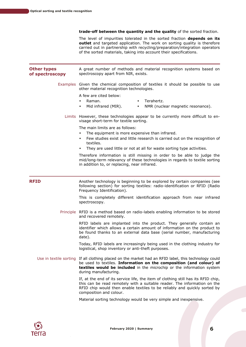**trade-off between the quantity and the quality** of the sorted fraction.

The level of impurities tolerated in the sorted fraction **depends on its outlet** and targeted application. The work on sorting quality is therefore carried out in partnership with recycling/preparation/integration operators of the sorted materials, taking into account their specifications.

<span id="page-6-1"></span><span id="page-6-0"></span>

| <b>Other types</b><br>of spectroscopy | A great number of methods and material recognition systems based on<br>spectroscopy apart from NIR, exists.                                                                                                                                                           |  |
|---------------------------------------|-----------------------------------------------------------------------------------------------------------------------------------------------------------------------------------------------------------------------------------------------------------------------|--|
|                                       | Examples Given the chemical composition of textiles it should be possible to use<br>other material recognition technologies.                                                                                                                                          |  |
|                                       | A few are cited below:<br>Terahertz.<br>Raman.<br>$\bullet$<br>Mid infrared (MIR).<br>NMR (nuclear magnetic resonance).<br>٠                                                                                                                                          |  |
|                                       | Limits However, these technologies appear to be currently more difficult to en-<br>visage short-term for textile sorting.                                                                                                                                             |  |
|                                       | The main limits are as follows:<br>The equipment is more expensive than infrared.<br>٠<br>Few studies exist and little research is carried out on the recognition of<br>٠<br>textiles.<br>They are used little or not at all for waste sorting type activities.<br>٠  |  |
|                                       | Therefore information is still missing in order to be able to judge the<br>mid/long-term relevancy of these technologies in regards to textile sorting<br>in addition to, or replacing, near infrared.                                                                |  |
| <b>RFID</b>                           | Another technology is beginning to be explored by certain companies (see<br>following section) for sorting textiles: radio-identification or RFID (Radio<br>Frequency Identification).                                                                                |  |
|                                       | This is completely different identification approach from near infrared<br>spectroscopy.                                                                                                                                                                              |  |
|                                       | Principle RFID is a method based on radio-labels enabling information to be stored<br>and recovered remotely.                                                                                                                                                         |  |
|                                       | RFID labels are implanted into the product. They generally contain an<br>identifier which allows a certain amount of information on the product to<br>be found thanks to an external data base (serial number, manufacturing<br>date).                                |  |
|                                       | Today, RFID labels are increasingly being used in the clothing industry for<br>logistical, shop inventory or anti-theft purposes.                                                                                                                                     |  |
| Use in textile sorting                | If all clothing placed on the market had an RFID label, this technology could<br>be used to textiles. Information on the composition (and colour) of<br>textiles would be included in the microchip or the information system<br>during manufacturing.                |  |
|                                       | If, at the end of its service life, the item of clothing still has its RFID chip,<br>this can be read remotely with a suitable reader. The information on the<br>RFID chip would then enable textiles to be reliably and quickly sorted by<br>composition and colour. |  |
|                                       | Material sorting technology would be very simple and inexpensive.                                                                                                                                                                                                     |  |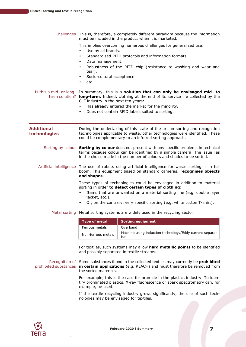Challenges This is, therefore, a completely different paradigm because the information must be included in the product when it is marketed. This implies overcoming numerous challenges for generalised use: Use by all brands. Standardised RFID protocols and information formats. Data management.

- 
- Robustness of the RFID chip (resistance to washing and wear and tear).
- Socio-cultural acceptance.
- etc.

Is this a mid- or long- In summary, this is a **solution that can only be envisaged mid- to** term solution? **long-term.** Indeed, clothing at the end of its service life collected by the CLF industry in the next ten years:

- Has already entered the market for the majority.
- Does not contain RFID labels suited to sorting.

<span id="page-7-0"></span>**Additional technologies** During the undertaking of this state of the art on sorting and recognition technologies applicable to waste, other technologies were identified. These could be complementary to an infrared sorting approach. Sorting by colour **Sorting by colour** does not present with any specific problems in technical terms because colour can be identified by a simple camera. The issue lies in the choice made in the number of colours and shades to be sorted. Artificial intelligence The use of robots using artificial intelligence for waste sorting is in full boom. This equipment based on standard cameras, **recognises objects and shapes**. These types of technologies could be envisaged in addition to material sorting in order **to detect certain types of clothing**:

- Items that are unwanted on a material sorting line (e.g. double layer jacket, etc.).
- Or, on the contrary, very specific sorting (e.g. white cotton T-shirt).

Metal sorting Metal sorting systems are widely used in the recycling sector.

| <b>Type of metal</b> | Sorting equipment                                              |
|----------------------|----------------------------------------------------------------|
| Ferrous metals       | Overband                                                       |
| Non-ferrous metals   | Machine using induction technology/Eddy current separa-<br>tor |

For textiles, such systems may allow **hard metallic points** to be identified and possibly separated in textile streams.

Recognition of Some substances found in the collected textiles may currently be **prohibited**  prohibited substances **in certain applications** (e.g. REACH) and must therefore be removed from the sorted materials.

> For example, this is the case for bromide in the plastics industry. To identify brominated plastics, X-ray fluorescence or spark spectrometry can, for example, be used.

> If the textile recycling industry grows significantly, the use of such technologies may be envisaged for textiles.

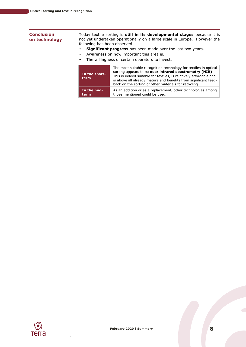# <span id="page-8-0"></span>**Conclusion on technology**

Today textile sorting is **still in its developmental stages** because it is not yet undertaken operationally on a large scale in Europe. However the following has been observed:

- **Significant progress** has been made over the last two years.
- Awareness on how important this area is.
- The willingness of certain operators to invest.

| In the short-<br>term | The most suitable recognition technology for textiles in optical<br>sorting appears to be near infrared spectrometry (NIR)<br>This is indeed suitable for textiles, is relatively affordable and<br>is above all already mature and benefits from significant feed-<br>back on the sorting of other materials for recycling. |
|-----------------------|------------------------------------------------------------------------------------------------------------------------------------------------------------------------------------------------------------------------------------------------------------------------------------------------------------------------------|
| In the mid-           | As an addition or as a replacement, other technologies among                                                                                                                                                                                                                                                                 |
| term                  | those mentioned could be used.                                                                                                                                                                                                                                                                                               |

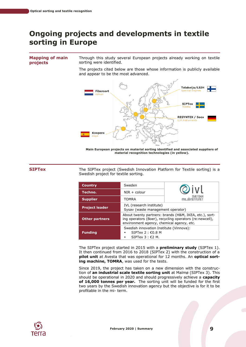# <span id="page-9-0"></span>**Ongoing projects and developments in textile sorting in Europe**

### <span id="page-9-1"></span>**Mapping of main projects**

Through this study several European projects already working on textile sorting were identified.

The projects cited below are those whose information is publicly available and appear to be the most advanced.



**Main European projects on material sorting identified and associated suppliers of material recognition technologies (in yellow).**

<span id="page-9-2"></span>**SIPTex** The SIPTex project (Swedish Innovation Platform for Textile sorting) is a Swedish project for textile sorting.

| <b>Country</b>        | Sweden                                                                                                                                                         |                                |  |
|-----------------------|----------------------------------------------------------------------------------------------------------------------------------------------------------------|--------------------------------|--|
| Techno.               | $NIR + colour$                                                                                                                                                 |                                |  |
| <b>Supplier</b>       | <b>TOMRA</b>                                                                                                                                                   | <b>SVENSKA</b><br>mil. JÖINSTI |  |
| <b>Project leader</b> | IVL (research institute)<br>Sysav (waste management operator)                                                                                                  |                                |  |
| <b>Other partners</b> | About twenty partners: brands (H&M, IKEA, etc.), sort-<br>ing operators (Boer), recycling operators (re:newcell),<br>environment agency, chemical agency, etc. |                                |  |
| <b>Funding</b>        | Swedish innovation Institute (Vinnova):<br>SIPTex $2:60.8$ M<br>SIPTex $3:62$ M.                                                                               |                                |  |

The SIPTex project started in 2015 with a **preliminary study** (SIPTex 1). It then continued from 2016 to 2018 (SIPTex 2) with the construction of a **pilot unit** at Avesta that was operational for 12 months. An **optical sorting machine, TOMRA**, was used for the tests.

Since 2019, the project has taken on a new dimension with the construction of **an industrial scale textile sorting unit** at Malmø (SIPTex 3). This should be operational in 2020 and should progressively achieve a **capacity of 16,000 tonnes per year.** The sorting unit will be funded for the first two years by the Swedish innovation agency but the objective is for it to be profitable in the mi- term.

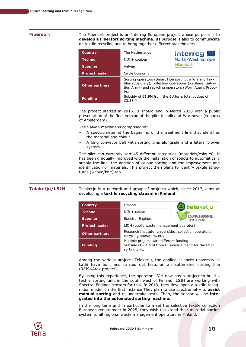<span id="page-10-0"></span>**Fibersort** The Fibersort project is an Interreg European project whose purpose is to **develop a Fibersort sorting machine**. Its purpose is also to communicate on textile recycling and to bring together different stakeholders.

| <b>Country</b>        | The Netherlands                                                                                                                                                                       | <b>Interreg</b>                                        |  |
|-----------------------|---------------------------------------------------------------------------------------------------------------------------------------------------------------------------------------|--------------------------------------------------------|--|
| Techno.               | $NIR + \text{coulour}$                                                                                                                                                                | <b>North-West Europe</b>                               |  |
| <b>Supplier</b>       | Valvan                                                                                                                                                                                | <b>Fibersort</b><br>European Regional Development Fund |  |
| <b>Project leader</b> | Circle Economy                                                                                                                                                                        |                                                        |  |
| <b>Other partners</b> | Sorting operators (Smart Fibersorting, a Wieland Tex-<br>tiles subsidiary), collection operations (ReShare, Salva-<br>tion Army) and recycling operators (Worn Again, Proco-<br>tex). |                                                        |  |
| <b>Funding</b>        | Subsidy of €1.9M from the EU for a total budget of<br>€3.38 M.                                                                                                                        |                                                        |  |

The project started in 2016. It should end in March 2020 with a public presentation of the final version of the pilot installed at Wormever (suburbs of Amsterdam).

The Valvan machine is comprised of:

- A spectrometer at the beginning of the treatment line that identifies the material and colour.
- A long conveyor belt with sorting bins alongside and a lateral blower system.

The pilot can currently sort 45 different categories (materials/colours). It has been gradually improved with the installation of robots to automatically supply the line, the addition of colour sorting and the improvement and identification of materials. This project then plans to identify textile structures (weave/knit) too.

<span id="page-10-1"></span>**Telaketju/LSJH** Telaketju is a network and group of projects which, since 2017, aims at developing a **textile recycling stream in Finland**.

| <b>Country</b>        | Finland                                                                                                             | <b>tela</b> ketju                          |  |
|-----------------------|---------------------------------------------------------------------------------------------------------------------|--------------------------------------------|--|
| Techno.               | $NIR + colour$                                                                                                      |                                            |  |
| <b>Supplier</b>       | <b>Spectral Engines</b>                                                                                             | <b>LOUNAIS-SUOMEN</b><br><b>JÄTEHUOLTO</b> |  |
| <b>Project leader</b> | LSJH (public waste management operator)                                                                             |                                            |  |
| <b>Other partners</b> | Research Institute, universities, collection operators,<br>recycling operators, etc.                                |                                            |  |
| <b>Funding</b>        | Multiple projects with different funding.<br>Subsidy of € 1.5 M from Business Finland for the LSJH<br>sorting unit. |                                            |  |

Among the various projects Telaketju, the applied sciences university in Lathi have built and carried out tests on an automated sorting line (REISKAtex project).

By using this experience, the operator LSJH now has a project to build a textile sorting unit in the south west of Finland. LSJH are working with Spectral Engines sensors for this. In 2019, they developed a textile recognition model. In the first instance They plan to use spectrometry to **assist manual sorting** and to undertake tests. Then, the sensor will be **integrated into the automated sorting machine.**

In the long term and in particular to meet the selective textile collection European requirement in 2025, they wish to extend their material sorting system to all regional waste management operators in Finland.

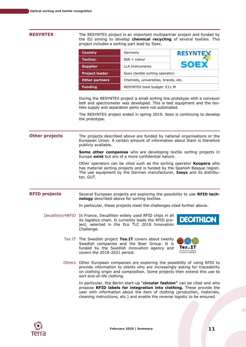<span id="page-11-0"></span>**RESYNTEX** The RESYNTEX project is an important multipartner project and funded by the EU aiming to develop **chemical recycling** of several textiles. This project includes a sorting part lead by Soex.

| <b>Country</b>        | Germany                              | <b>RESYNTEX</b> |  |
|-----------------------|--------------------------------------|-----------------|--|
| Techno.               | $NIR + colour$                       |                 |  |
| <b>Supplier</b>       | <b>LLA Instruments</b>               | SOEX            |  |
| <b>Project leader</b> | Soex (textile sorting operator)      |                 |  |
| <b>Other partners</b> | Chemists, universities, brands, etc. |                 |  |
| <b>Funding</b>        | RESYNTEX total budget: €11 M         |                 |  |

During the RESYNTEX project a small sorting line prototype with a conveyor belt and spectrometer was developed. This is test equipment and the textiles supply and separation parts were not automated.

The RESYNTEX project ended in spring 2019. Soex is continuing to develop the prototype.

<span id="page-11-1"></span>**Other projects** The projects described above are funded by national organisations or the European Union. A certain amount of information about them is therefore publicly available.

> **Some other companies** who are developing textile sorting projects in Europe **exist** but are of a more confidential nature.

> Other operators can be cited such as the sorting operator **Koopera** who has material sorting projects and is funded by the Spanish Basque region. The use equipment by the German manufacturer, **Iosys** and its distributor, GUT.

<span id="page-11-2"></span>**RFID projects** Several European projects are exploring the possibility to use **RFID technology** described above for sorting textiles.

In particular, these projects meet the challenges cited further above.

- Decathlon/4RFID In France, Decathlon widely used RFID chips in all its logistics chain. It currently leads the RFID project, selected in the Eco TLC 2018 Innovation Challenge.
- 
- Tex.IT The Swedish project **Tex.IT** covers about twenty Swedish companies and the Boer Group. It is funded by the Swedish innovation agency and covers the 2018-2021 period.



Others Other European companies are exploring the possibility of using RFID to provide information to clients who are increasingly asking for traceability on clothing origin and composition. Some projects then extend this use to sort end-of-life clothing.

In particular, the Berlin start-up "**circular fashion"** can be cited and who propose **RFID labels for integration into clothing.** These provide the user with information about the item of clothing (production, materials, cleaning instructions, etc.) and enable the reverse logistic to be ensured.

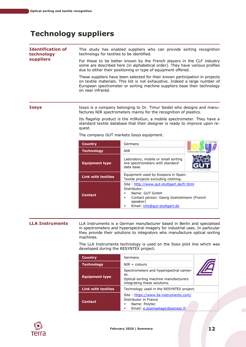# <span id="page-12-0"></span>**Technology suppliers**

<span id="page-12-1"></span>

| <b>Identification of</b><br>technology<br><b>suppliers</b> | This study has enabled suppliers who can provide sorting recognition<br>technology for textiles to be identified.<br>For these to be better known by the French players in the CLF industry<br>some are described here (in alphabetical order). They have various profiles<br>due to either their positioning or type of equipment offered. |
|------------------------------------------------------------|---------------------------------------------------------------------------------------------------------------------------------------------------------------------------------------------------------------------------------------------------------------------------------------------------------------------------------------------|
|                                                            | These suppliers have been selected for their known participation in projects<br>on textile materials. This list is not exhaustive. Indeed a large number of<br>European spectrometer or sorting machine suppliers base their technology<br>on near infrared.                                                                                |
| <b>Iosys</b>                                               | Iosys is a company belonging to Dr. Timur Seidel who designs and manu-<br>factures NIR spectrometers mainly for the recognition of plastics.                                                                                                                                                                                                |

<span id="page-12-2"></span>Its flagship product is the mIRoGun, a mobile spectrometer. They have a standard textile database that their designer is ready to improve upon request.

| <b>Country</b>            | Germany                                                                                                                                                                        |                            |
|---------------------------|--------------------------------------------------------------------------------------------------------------------------------------------------------------------------------|----------------------------|
| <b>Technology</b>         | NIR.                                                                                                                                                                           | Individual optical Systems |
| <b>Equipment type</b>     | Laboratory, mobile or small sorting<br>line spectrometers with standard<br>data base.                                                                                          | Environmental Technologies |
| <b>Link with textiles</b> | Equipment used by Koopera in Spain.<br>Textile projects excluding clothing.                                                                                                    |                            |
| <b>Contact</b>            | Site: http://www.qut-stuttgart.de/fr.html<br>Distributor:<br>Name: GUT GmbH<br>٠<br>Contact person: Georg Goetzelmann (French<br>٠<br>speaker)<br>Email: info@qut-stuttgart.de |                            |

The company GUT markets Iosys equipment.

<span id="page-12-3"></span>**LLA Instruments** LLA Instruments is a German manufacturer based in Berlin and specialised in spectrometers and hyperspectral imagery for industrial uses. In particular they provide their solutions to integrators who manufacture optical sorting machines.

> The LLA Instruments technology is used on the Soex pilot line which was developed during the RESYNTEX project.

| <b>Country</b>            | Germany                                                                                                                |      |
|---------------------------|------------------------------------------------------------------------------------------------------------------------|------|
| <b>Technology</b>         | $NIR + colours$                                                                                                        |      |
| <b>Equipment type</b>     | Spectrometers and hyperspectral camer-<br>as.<br>Optical sorting machine manufacturers<br>integrating these solutions. | 77 L |
| <b>Link with textiles</b> | Technology used in the RESYNTEX project.                                                                               |      |
| <b>Contact</b>            | Site: https://www.lla-instruments.com/<br>Distributor in France<br>Name: Polytec<br>Email: e.dzamastagic@polytec.fr    |      |

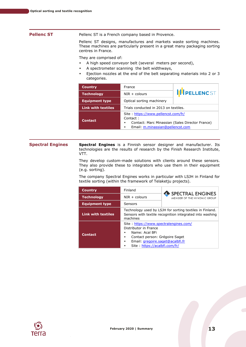<span id="page-13-0"></span>

| <b>Pellenc ST</b> | Pellenc ST is a French company based in Provence.                                                                                                 |  |  |
|-------------------|---------------------------------------------------------------------------------------------------------------------------------------------------|--|--|
|                   | Pellenc ST designs, manufactures and markets waste sorting machines.<br>These machines are particularly present in a great many packaging sorting |  |  |

They are comprised of:

centres in France.

- A high speed conveyor belt (several meters per second),
- A spectrometer scanning the belt widthways,
- Ejection nozzles at the end of the belt separating materials into 2 or 3 categories.

| <b>Country</b>            | France                                                                                                                                      | <b>IIII PELLENC ST</b> |  |
|---------------------------|---------------------------------------------------------------------------------------------------------------------------------------------|------------------------|--|
| <b>Technology</b>         | $NIR +$ colours                                                                                                                             |                        |  |
| <b>Equipment type</b>     | Optical sorting machinery                                                                                                                   |                        |  |
| <b>Link with textiles</b> | Trials conducted in 2013 on textiles.                                                                                                       |                        |  |
| <b>Contact</b>            | Site: https://www.pellencst.com/fr/<br>Contact:<br>Contact: Marc Minassian (Sales Director France)<br>٠<br>Email: m.minassian@pellencst.com |                        |  |

<span id="page-13-1"></span>**Spectral Engines Spectral Engines** is a Finnish sensor designer and manufacturer. Its technologies are the results of research by the Finish Research Institute, VTT.

> They develop custom-made solutions with clients around these sensors. They also provide these to integrators who use them in their equipment (e.g. sorting).

> The company Spectral Engines works in particular with LSJH in Finland for textile sorting (within the framework of Telaketju projects).

| <b>Country</b>            | Finland                                                                                                                                                                                                  | SPECTRAL ENGINES            |  |
|---------------------------|----------------------------------------------------------------------------------------------------------------------------------------------------------------------------------------------------------|-----------------------------|--|
| <b>Technology</b>         | $NIR + colours$                                                                                                                                                                                          | MEMBER OF THE NYNOMIC GROUP |  |
| <b>Equipment type</b>     | Sensors                                                                                                                                                                                                  |                             |  |
| <b>Link with textiles</b> | Technology used by LSJH for sorting textiles in Finland.<br>Sensors with textile recognition integrated into washing<br>machines                                                                         |                             |  |
| <b>Contact</b>            | Site: https://www.spectralengines.com/<br>Distributor in France<br>Name: Acal BFi<br>٠<br>Contact person: Grégoire Saget<br>٠<br>Email: gregoire.saget@acalbfi.fr<br>٠<br>Site : https://acalbfi.com/fr/ |                             |  |

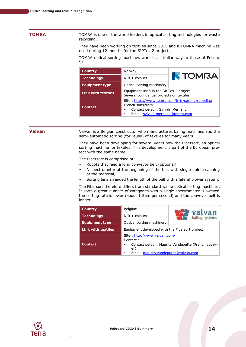<span id="page-14-0"></span>**TOMRA** TOMRA is one of the world leaders in optical sorting technologies for waste recycling.

> They have been working on textiles since 2015 and a TOMRA machine was used during 12 months for the SIPTex 2 project.

> TOMRA optical sorting machines work in a similar way to those of Pellenc ST.

| <b>Country</b>            | Norway                                                                                                                                                |                |  |
|---------------------------|-------------------------------------------------------------------------------------------------------------------------------------------------------|----------------|--|
| <b>Technology</b>         | $NIR + colours$                                                                                                                                       | <b>N</b> TOMRA |  |
| <b>Equipment type</b>     | Optical sorting machinery                                                                                                                             |                |  |
| <b>Link with textiles</b> | Equipment used in the SIPTex 2 project<br>Several confidential projects on textiles.                                                                  |                |  |
| <b>Contact</b>            | Site: https://www.tomra.com/fr-fr/sorting/recycling<br>French subsidiary:<br>Contact person: Sylvain Merhand<br>٠<br>Email: sylvain.merhand@tomra.com |                |  |

<span id="page-14-1"></span>**Valvan** Valvan is a Belgian constructor who manufactures baling machines and the semi-automatic sorting (for reuse) of textiles for many years.

> They have been developing for several years now the Fibersort, an optical sorting machine for textiles. This development is part of the European project with the same name.

The Fibersort is comprised of:

- Robots that feed a long conveyor belt (optional),
- A spectrometer at the beginning of the belt with single point scanning of the material,
- Sorting bins arranged the length of the belt with a lateral blower system.

The Fibersort therefore differs from standard waste optical sorting machines. It sorts a great number of categories with a single spectrometer. However, the sorting rate is lower (about 1 item per second) and the conveyor belt is longer.

| <b>Country</b>            | Belgium                                                                                                                                            |                | valvan |
|---------------------------|----------------------------------------------------------------------------------------------------------------------------------------------------|----------------|--------|
| <b>Technology</b>         | $NIR + colours$                                                                                                                                    | baling systems |        |
| <b>Equipment type</b>     | Optical sorting machinery                                                                                                                          |                |        |
| <b>Link with textiles</b> | Equipment developed with the Fibersort project.                                                                                                    |                |        |
| <b>Contact</b>            | Site : http://www.valvan.com/<br>Contact:<br>Contact person: Maurits Vandeputte (French speak-<br>٠<br>er)<br>Email: maurits.vandeputte@valvan.com |                |        |

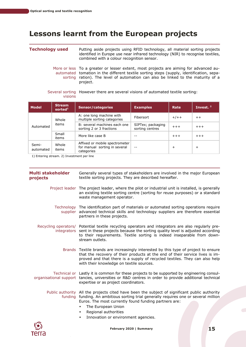# <span id="page-15-0"></span>**Lessons learnt from the European projects**

<span id="page-15-1"></span>

| <b>Technology used</b> | Putting aside projects using RFID technology, all material sorting projects<br>identified in Europe use near infrared technology (NIR) to recognise textiles,<br>combined with a colour recognition sensor. |
|------------------------|-------------------------------------------------------------------------------------------------------------------------------------------------------------------------------------------------------------|
|                        |                                                                                                                                                                                                             |

More or less To a greater or lesser extent, most projects are aiming for advanced auautomated tomation in the different textile sorting steps (supply, identification, sepasorting ration). The level of automation can also be linked to the maturity of a project.

### Several sorting However there are several visions of automated textile sorting: visions

| <b>Model</b>                                  | <b>Stream</b><br>sorted <sup>1</sup> | <b>Sensor/categories</b>                                                      | <b>Examples</b>                      | Rate           | Invest. $21$ |
|-----------------------------------------------|--------------------------------------|-------------------------------------------------------------------------------|--------------------------------------|----------------|--------------|
| Whole<br>items<br>Automated<br>Small<br>items |                                      | A: one long machine with<br>multiple sorting categories                       | Fibersort                            | $+/++$         | $++$         |
|                                               |                                      | B: several machines each one<br>sorting 2 or 3 fractions                      | SIPTex; packaging<br>sorting centres | $+++$          | $+++$        |
|                                               | More like case B                     |                                                                               | $+ + +$                              | $+++$          |              |
| Semi-<br>automated                            | Whole<br>items                       | Affixed or mobile spectrometer<br>for manual sorting in several<br>categories |                                      | $\overline{+}$ | $\div$       |

1) Entering stream. 2) Investment per line

<span id="page-15-2"></span>

| Multi stakeholder<br>projects | Generally several types of stakeholders are involved in the major European<br>textile sorting projects. They are described hereafter.                                                                                                                                                                                                                  |
|-------------------------------|--------------------------------------------------------------------------------------------------------------------------------------------------------------------------------------------------------------------------------------------------------------------------------------------------------------------------------------------------------|
|                               | Project leader The project leader, where the pilot or industrial unit is installed, is generally<br>an existing textile sorting centre (sorting for reuse purposes) or a standard<br>waste management operator.                                                                                                                                        |
|                               | Technology The identification part of materials or automated sorting operations require<br>supplier advanced technical skills and technology suppliers are therefore essential<br>partners in these projects.                                                                                                                                          |
|                               | Recycling operators/ Potential textile recycling operators and integrators are also regularly pre-<br>integrators sent in these projects because the sorting quality level is adjusted according<br>to their requirements. Textile sorting is indeed inseparable from down-<br>stream outlets.                                                         |
|                               | Brands Textile brands are increasingly interested by this type of project to ensure<br>that the recovery of their products at the end of their service lives is im-<br>proved and that there is a supply of recycled textiles. They can also help<br>with their knowledge on textile sources.                                                          |
|                               | Technical or Lastly it is common for these projects to be supported by engineering consul-<br>organisational support tancies, universities or R&D centres in order to provide additional technical<br>expertise or as project coordinators.                                                                                                            |
|                               | Public authority All the projects cited have been the subject of significant public authority<br>funding funding. An ambitious sorting trial generally requires one or several million<br>Euros. The most currently found funding partners are:<br>The European Union<br>٠<br>Regional authorities<br>$\bullet$<br>Innovation or environment agencies. |

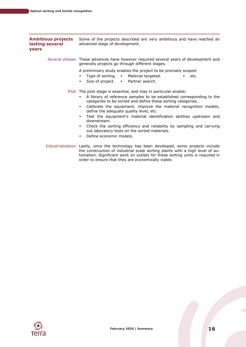<span id="page-16-0"></span>

| <b>Ambitious projects</b><br>lasting several<br><b>vears</b> | Some of the projects described are very ambitious and have reached an<br>advanced stage of development.                                                                                                                                                                                                                                                                                                                                                                                                                                                                                                                        |  |
|--------------------------------------------------------------|--------------------------------------------------------------------------------------------------------------------------------------------------------------------------------------------------------------------------------------------------------------------------------------------------------------------------------------------------------------------------------------------------------------------------------------------------------------------------------------------------------------------------------------------------------------------------------------------------------------------------------|--|
|                                                              | Several phases These advances have however required several years of development and<br>generally projects go through different stages.                                                                                                                                                                                                                                                                                                                                                                                                                                                                                        |  |
|                                                              | A preliminary study enables the project to be precisely scoped:<br>Type of sorting. • Material targeted.<br>etc.<br>$\bullet$<br>$\bullet$<br>Size of project. $\bullet$ Partner search.<br>$\bullet$                                                                                                                                                                                                                                                                                                                                                                                                                          |  |
|                                                              | Pilot The pilot stage is essential, and may in particular enable:<br>A library of reference samples to be established corresponding to the<br>٠<br>categories to be sorted and define these sorting categories.<br>Calibrate the equipment, improve the material recognition models,<br>$\bullet$<br>define the adequate quality level, etc.<br>Test the equipment's material identification abilities upstream and<br>$\bullet$<br>downstream.<br>Check the sorting efficiency and reliability by sampling and carrying<br>$\bullet$<br>out laboratory tests on the sorted materials.<br>Define economic models.<br>$\bullet$ |  |
|                                                              | Industrialisation Lastly, once the technology has been developed, some projects include<br>the construction of industrial scale sorting plants with a high level of au-<br>tomation. Significant work on outlets for these sorting units is required in<br>order to ensure that they are economically viable.                                                                                                                                                                                                                                                                                                                  |  |